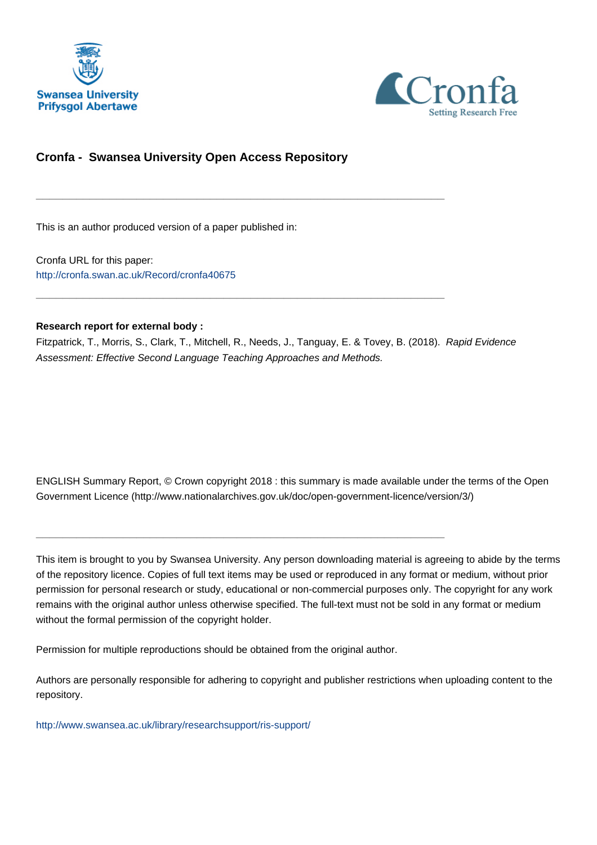



## **Cronfa - Swansea University Open Access Repository**

\_\_\_\_\_\_\_\_\_\_\_\_\_\_\_\_\_\_\_\_\_\_\_\_\_\_\_\_\_\_\_\_\_\_\_\_\_\_\_\_\_\_\_\_\_\_\_\_\_\_\_\_\_\_\_\_\_\_\_\_\_

\_\_\_\_\_\_\_\_\_\_\_\_\_\_\_\_\_\_\_\_\_\_\_\_\_\_\_\_\_\_\_\_\_\_\_\_\_\_\_\_\_\_\_\_\_\_\_\_\_\_\_\_\_\_\_\_\_\_\_\_\_

This is an author produced version of a paper published in:

Cronfa URL for this paper: <http://cronfa.swan.ac.uk/Record/cronfa40675>

#### **Research report for external body :**

Fitzpatrick, T., Morris, S., Clark, T., Mitchell, R., Needs, J., Tanguay, E. & Tovey, B. (2018). Rapid Evidence Assessment: Effective Second Language Teaching Approaches and Methods.

ENGLISH Summary Report, © Crown copyright 2018 : this summary is made available under the terms of the Open Government Licence (http://www.nationalarchives.gov.uk/doc/open-government-licence/version/3/)

This item is brought to you by Swansea University. Any person downloading material is agreeing to abide by the terms of the repository licence. Copies of full text items may be used or reproduced in any format or medium, without prior permission for personal research or study, educational or non-commercial purposes only. The copyright for any work remains with the original author unless otherwise specified. The full-text must not be sold in any format or medium without the formal permission of the copyright holder.

Permission for multiple reproductions should be obtained from the original author.

\_\_\_\_\_\_\_\_\_\_\_\_\_\_\_\_\_\_\_\_\_\_\_\_\_\_\_\_\_\_\_\_\_\_\_\_\_\_\_\_\_\_\_\_\_\_\_\_\_\_\_\_\_\_\_\_\_\_\_\_\_

Authors are personally responsible for adhering to copyright and publisher restrictions when uploading content to the repository.

[http://www.swansea.ac.uk/library/researchsupport/ris-support/](http://www.swansea.ac.uk/library/researchsupport/ris-support/ )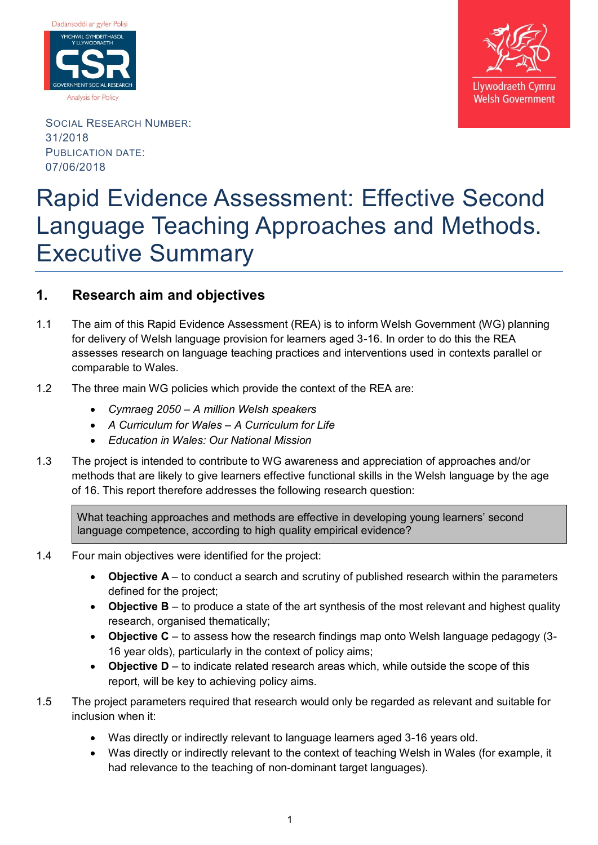



SOCIAL RESEARCH NUMBER: 31/2018 PUBLICATION DATE: 07/06/2018

# Rapid Evidence Assessment: Effective Second Language Teaching Approaches and Methods. Executive Summary

# **1. Research aim and objectives**

- 1.1 The aim of this Rapid Evidence Assessment (REA) is to inform Welsh Government (WG) planning for delivery of Welsh language provision for learners aged 3-16. In order to do this the REA assesses research on language teaching practices and interventions used in contexts parallel or comparable to Wales.
- 1.2 The three main WG policies which provide the context of the REA are:
	- *Cymraeg 2050 – A million Welsh speakers*
	- *A Curriculum for Wales – A Curriculum for Life*
	- *Education in Wales: Our National Mission*
- 1.3 The project is intended to contribute to WG awareness and appreciation of approaches and/or methods that are likely to give learners effective functional skills in the Welsh language by the age of 16. This report therefore addresses the following research question:

What teaching approaches and methods are effective in developing young learners' second language competence, according to high quality empirical evidence?

- 1.4 Four main objectives were identified for the project:
	- **Objective A** to conduct a search and scrutiny of published research within the parameters defined for the project;
	- **Objective B** to produce a state of the art synthesis of the most relevant and highest quality research, organised thematically;
	- **Objective C** to assess how the research findings map onto Welsh language pedagogy (3- 16 year olds), particularly in the context of policy aims;
	- **Objective D** to indicate related research areas which, while outside the scope of this report, will be key to achieving policy aims.
- 1.5 The project parameters required that research would only be regarded as relevant and suitable for inclusion when it:
	- Was directly or indirectly relevant to language learners aged 3-16 years old.
	- Was directly or indirectly relevant to the context of teaching Welsh in Wales (for example, it had relevance to the teaching of non-dominant target languages).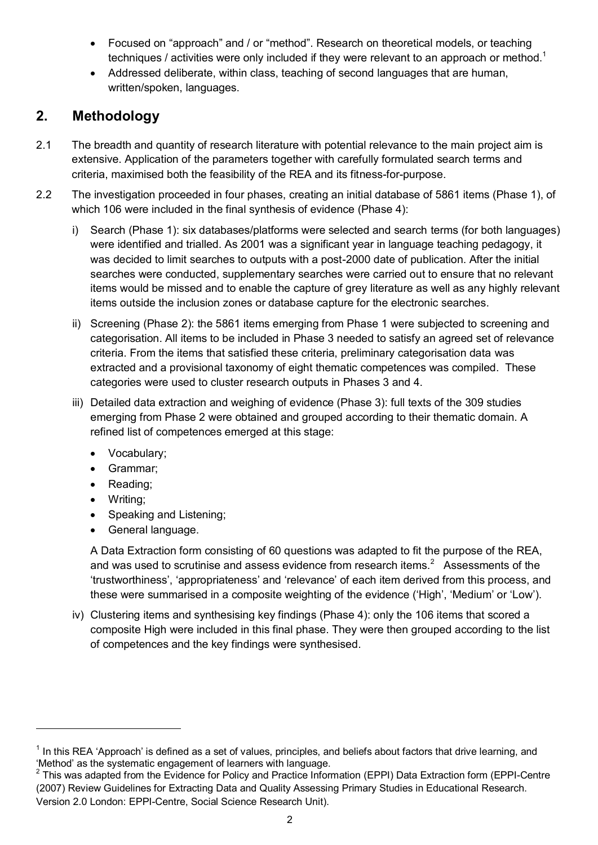- Focused on "approach" and / or "method". Research on theoretical models, or teaching techniques / activities were only included if they were relevant to an approach or method.<sup>1</sup>
- Addressed deliberate, within class, teaching of second languages that are human, written/spoken, languages.

# **2. Methodology**

- 2.1 The breadth and quantity of research literature with potential relevance to the main project aim is extensive. Application of the parameters together with carefully formulated search terms and criteria, maximised both the feasibility of the REA and its fitness-for-purpose.
- 2.2 The investigation proceeded in four phases, creating an initial database of 5861 items (Phase 1), of which 106 were included in the final synthesis of evidence (Phase 4):
	- i) Search (Phase 1): six databases/platforms were selected and search terms (for both languages) were identified and trialled. As 2001 was a significant year in language teaching pedagogy, it was decided to limit searches to outputs with a post-2000 date of publication. After the initial searches were conducted, supplementary searches were carried out to ensure that no relevant items would be missed and to enable the capture of grey literature as well as any highly relevant items outside the inclusion zones or database capture for the electronic searches.
	- ii) Screening (Phase 2): the 5861 items emerging from Phase 1 were subjected to screening and categorisation. All items to be included in Phase 3 needed to satisfy an agreed set of relevance criteria. From the items that satisfied these criteria, preliminary categorisation data was extracted and a provisional taxonomy of eight thematic competences was compiled. These categories were used to cluster research outputs in Phases 3 and 4.
	- iii) Detailed data extraction and weighing of evidence (Phase 3): full texts of the 309 studies emerging from Phase 2 were obtained and grouped according to their thematic domain. A refined list of competences emerged at this stage:
		- Vocabulary;
		- Grammar;
		- Reading;
		- Writing;

 $\overline{a}$ 

- Speaking and Listening;
- General language.

A Data Extraction form consisting of 60 questions was adapted to fit the purpose of the REA, and was used to scrutinise and assess evidence from research items.<sup>2</sup> Assessments of the 'trustworthiness', 'appropriateness' and 'relevance' of each item derived from this process, and these were summarised in a composite weighting of the evidence ('High', 'Medium' or 'Low').

iv) Clustering items and synthesising key findings (Phase 4): only the 106 items that scored a composite High were included in this final phase. They were then grouped according to the list of competences and the key findings were synthesised.

 $1$  In this REA 'Approach' is defined as a set of values, principles, and beliefs about factors that drive learning, and 'Method' as the systematic engagement of learners with language.

<sup>&</sup>lt;sup>2</sup> This was adapted from the Evidence for Policy and Practice Information (EPPI) Data Extraction form (EPPI-Centre (2007) Review Guidelines for Extracting Data and Quality Assessing Primary Studies in Educational Research. Version 2.0 London: EPPI-Centre, Social Science Research Unit).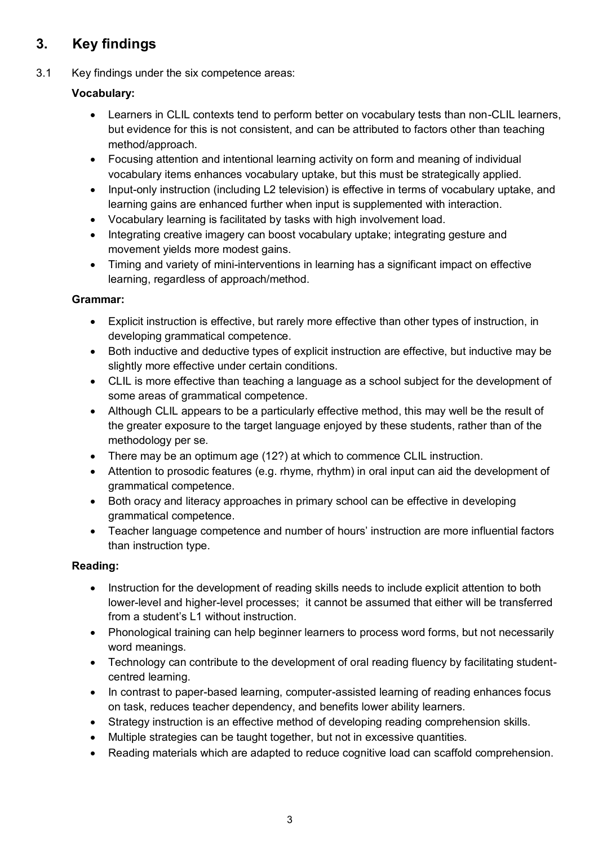# **3. Key findings**

# 3.1 Key findings under the six competence areas:

# **Vocabulary:**

- Learners in CLIL contexts tend to perform better on vocabulary tests than non-CLIL learners, but evidence for this is not consistent, and can be attributed to factors other than teaching method/approach.
- Focusing attention and intentional learning activity on form and meaning of individual vocabulary items enhances vocabulary uptake, but this must be strategically applied.
- Input-only instruction (including L2 television) is effective in terms of vocabulary uptake, and learning gains are enhanced further when input is supplemented with interaction.
- Vocabulary learning is facilitated by tasks with high involvement load.
- Integrating creative imagery can boost vocabulary uptake; integrating gesture and movement yields more modest gains.
- Timing and variety of mini-interventions in learning has a significant impact on effective learning, regardless of approach/method.

#### **Grammar:**

- Explicit instruction is effective, but rarely more effective than other types of instruction, in developing grammatical competence.
- Both inductive and deductive types of explicit instruction are effective, but inductive may be slightly more effective under certain conditions.
- CLIL is more effective than teaching a language as a school subject for the development of some areas of grammatical competence.
- Although CLIL appears to be a particularly effective method, this may well be the result of the greater exposure to the target language enjoyed by these students, rather than of the methodology per se.
- There may be an optimum age (12?) at which to commence CLIL instruction.
- Attention to prosodic features (e.g. rhyme, rhythm) in oral input can aid the development of grammatical competence.
- Both oracy and literacy approaches in primary school can be effective in developing grammatical competence.
- Teacher language competence and number of hours' instruction are more influential factors than instruction type.

### **Reading:**

- Instruction for the development of reading skills needs to include explicit attention to both lower-level and higher-level processes; it cannot be assumed that either will be transferred from a student's L1 without instruction.
- Phonological training can help beginner learners to process word forms, but not necessarily word meanings.
- Technology can contribute to the development of oral reading fluency by facilitating studentcentred learning.
- In contrast to paper-based learning, computer-assisted learning of reading enhances focus on task, reduces teacher dependency, and benefits lower ability learners.
- Strategy instruction is an effective method of developing reading comprehension skills.
- Multiple strategies can be taught together, but not in excessive quantities.
- Reading materials which are adapted to reduce cognitive load can scaffold comprehension.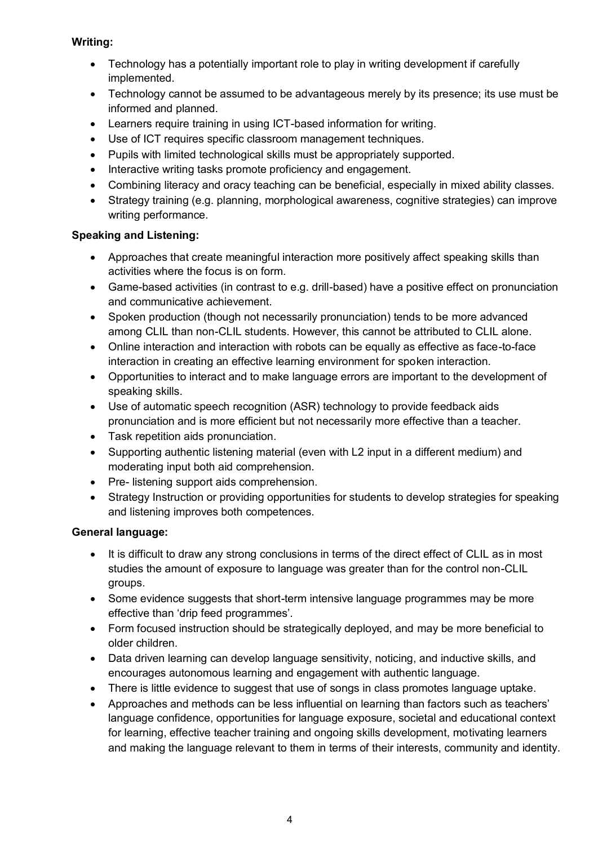## **Writing:**

- Technology has a potentially important role to play in writing development if carefully implemented.
- Technology cannot be assumed to be advantageous merely by its presence; its use must be informed and planned.
- Learners require training in using ICT-based information for writing.
- Use of ICT requires specific classroom management techniques.
- Pupils with limited technological skills must be appropriately supported.
- Interactive writing tasks promote proficiency and engagement.
- Combining literacy and oracy teaching can be beneficial, especially in mixed ability classes.
- Strategy training (e.g. planning, morphological awareness, cognitive strategies) can improve writing performance.

# **Speaking and Listening:**

- Approaches that create meaningful interaction more positively affect speaking skills than activities where the focus is on form.
- Game-based activities (in contrast to e.g. drill-based) have a positive effect on pronunciation and communicative achievement.
- Spoken production (though not necessarily pronunciation) tends to be more advanced among CLIL than non-CLIL students. However, this cannot be attributed to CLIL alone.
- Online interaction and interaction with robots can be equally as effective as face-to-face interaction in creating an effective learning environment for spoken interaction.
- Opportunities to interact and to make language errors are important to the development of speaking skills.
- Use of automatic speech recognition (ASR) technology to provide feedback aids pronunciation and is more efficient but not necessarily more effective than a teacher.
- Task repetition aids pronunciation.
- Supporting authentic listening material (even with L2 input in a different medium) and moderating input both aid comprehension.
- Pre- listening support aids comprehension.
- Strategy Instruction or providing opportunities for students to develop strategies for speaking and listening improves both competences.

# **General language:**

- It is difficult to draw any strong conclusions in terms of the direct effect of CLIL as in most studies the amount of exposure to language was greater than for the control non-CLIL groups.
- Some evidence suggests that short-term intensive language programmes may be more effective than 'drip feed programmes'.
- Form focused instruction should be strategically deployed, and may be more beneficial to older children.
- Data driven learning can develop language sensitivity, noticing, and inductive skills, and encourages autonomous learning and engagement with authentic language.
- There is little evidence to suggest that use of songs in class promotes language uptake.
- Approaches and methods can be less influential on learning than factors such as teachers' language confidence, opportunities for language exposure, societal and educational context for learning, effective teacher training and ongoing skills development, motivating learners and making the language relevant to them in terms of their interests, community and identity.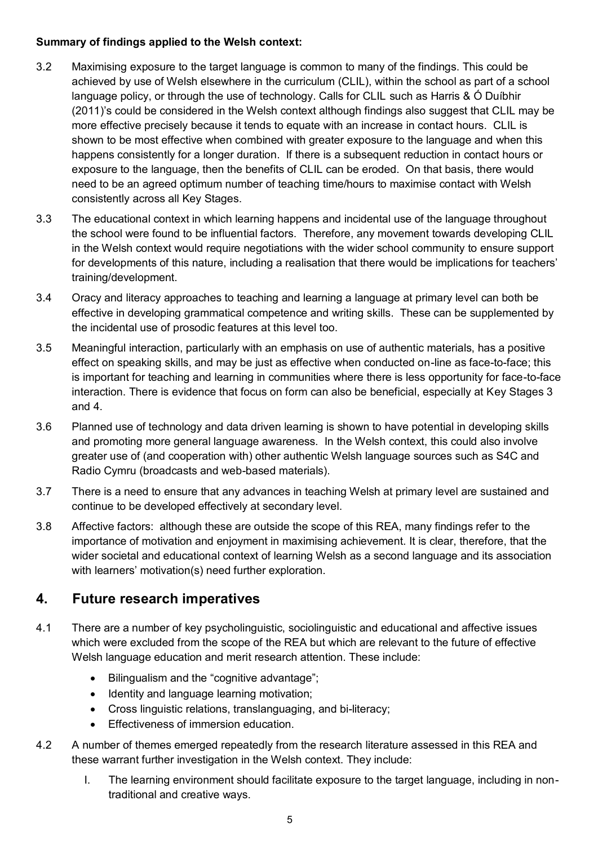## **Summary of findings applied to the Welsh context:**

- 3.2 Maximising exposure to the target language is common to many of the findings. This could be achieved by use of Welsh elsewhere in the curriculum (CLIL), within the school as part of a school language policy, or through the use of technology. Calls for CLIL such as Harris & Ó Duíbhir (2011)'s could be considered in the Welsh context although findings also suggest that CLIL may be more effective precisely because it tends to equate with an increase in contact hours. CLIL is shown to be most effective when combined with greater exposure to the language and when this happens consistently for a longer duration. If there is a subsequent reduction in contact hours or exposure to the language, then the benefits of CLIL can be eroded. On that basis, there would need to be an agreed optimum number of teaching time/hours to maximise contact with Welsh consistently across all Key Stages.
- 3.3 The educational context in which learning happens and incidental use of the language throughout the school were found to be influential factors. Therefore, any movement towards developing CLIL in the Welsh context would require negotiations with the wider school community to ensure support for developments of this nature, including a realisation that there would be implications for teachers' training/development.
- 3.4 Oracy and literacy approaches to teaching and learning a language at primary level can both be effective in developing grammatical competence and writing skills. These can be supplemented by the incidental use of prosodic features at this level too.
- 3.5 Meaningful interaction, particularly with an emphasis on use of authentic materials, has a positive effect on speaking skills, and may be just as effective when conducted on-line as face-to-face; this is important for teaching and learning in communities where there is less opportunity for face-to-face interaction. There is evidence that focus on form can also be beneficial, especially at Key Stages 3 and 4.
- 3.6 Planned use of technology and data driven learning is shown to have potential in developing skills and promoting more general language awareness. In the Welsh context, this could also involve greater use of (and cooperation with) other authentic Welsh language sources such as S4C and Radio Cymru (broadcasts and web-based materials).
- 3.7 There is a need to ensure that any advances in teaching Welsh at primary level are sustained and continue to be developed effectively at secondary level.
- 3.8 Affective factors: although these are outside the scope of this REA, many findings refer to the importance of motivation and enjoyment in maximising achievement. It is clear, therefore, that the wider societal and educational context of learning Welsh as a second language and its association with learners' motivation(s) need further exploration.

# **4. Future research imperatives**

- 4.1 There are a number of key psycholinguistic, sociolinguistic and educational and affective issues which were excluded from the scope of the REA but which are relevant to the future of effective Welsh language education and merit research attention. These include:
	- Bilingualism and the "cognitive advantage";
	- Identity and language learning motivation;
	- Cross linguistic relations, translanguaging, and bi-literacy;
	- **Effectiveness of immersion education.**
- 4.2 A number of themes emerged repeatedly from the research literature assessed in this REA and these warrant further investigation in the Welsh context. They include:
	- I. The learning environment should facilitate exposure to the target language, including in nontraditional and creative ways.